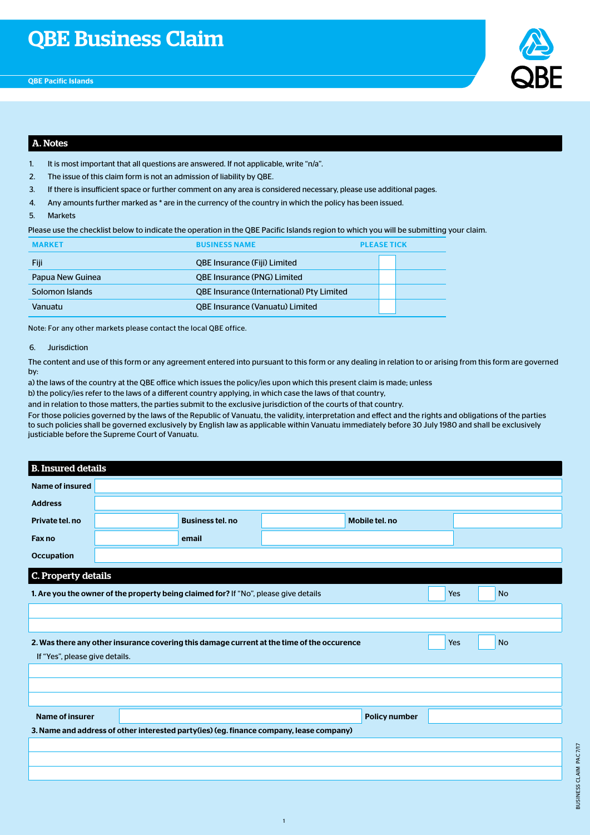

## A. Notes

- 1. It is most important that all questions are answered. If not applicable, write "n/a".
- 2. The issue of this claim form is not an admission of liability by QBE.
- 3. If there is insufficient space or further comment on any area is considered necessary, please use additional pages.
- 4. Any amounts further marked as \* are in the currency of the country in which the policy has been issued.
- 5. Markets

Please use the checklist below to indicate the operation in the QBE Pacific Islands region to which you will be submitting your claim.

| <b>MARKET</b>    | <b>BUSINESS NAME</b>                             |  | <b>PLEASE TICK</b> |  |  |
|------------------|--------------------------------------------------|--|--------------------|--|--|
| Fiji             | <b>QBE Insurance (Fiji) Limited</b>              |  |                    |  |  |
| Papua New Guinea | <b>QBE Insurance (PNG) Limited</b>               |  |                    |  |  |
| Solomon Islands  | <b>QBE Insurance (International) Pty Limited</b> |  |                    |  |  |
| Vanuatu          | <b>QBE Insurance (Vanuatu) Limited</b>           |  |                    |  |  |

Note: For any other markets please contact the local QBE office.

#### 6. Jurisdiction

The content and use of this form or any agreement entered into pursuant to this form or any dealing in relation to or arising from this form are governed by:

a) the laws of the country at the QBE office which issues the policy/ies upon which this present claim is made; unless

b) the policy/ies refer to the laws of a different country applying, in which case the laws of that country,

and in relation to those matters, the parties submit to the exclusive jurisdiction of the courts of that country.

For those policies governed by the laws of the Republic of Vanuatu, the validity, interpretation and effect and the rights and obligations of the parties to such policies shall be governed exclusively by English law as applicable within Vanuatu immediately before 30 July 1980 and shall be exclusively justiciable before the Supreme Court of Vanuatu.

### B. Insured details

| <b>Name of insured</b>         |                                                                                      |                                                                                            |                      |     |           |  |
|--------------------------------|--------------------------------------------------------------------------------------|--------------------------------------------------------------------------------------------|----------------------|-----|-----------|--|
| <b>Address</b>                 |                                                                                      |                                                                                            |                      |     |           |  |
| Private tel. no                | <b>Business tel. no</b>                                                              |                                                                                            | Mobile tel. no       |     |           |  |
| Fax no                         | email                                                                                |                                                                                            |                      |     |           |  |
| <b>Occupation</b>              |                                                                                      |                                                                                            |                      |     |           |  |
| C. Property details            |                                                                                      |                                                                                            |                      |     |           |  |
|                                | 1. Are you the owner of the property being claimed for? If "No", please give details |                                                                                            |                      | Yes | <b>No</b> |  |
|                                |                                                                                      |                                                                                            |                      |     |           |  |
|                                |                                                                                      |                                                                                            |                      |     |           |  |
|                                |                                                                                      | 2. Was there any other insurance covering this damage current at the time of the occurence |                      | Yes | <b>No</b> |  |
| If "Yes", please give details. |                                                                                      |                                                                                            |                      |     |           |  |
|                                |                                                                                      |                                                                                            |                      |     |           |  |
|                                |                                                                                      |                                                                                            |                      |     |           |  |
|                                |                                                                                      |                                                                                            |                      |     |           |  |
| <b>Name of insurer</b>         |                                                                                      |                                                                                            | <b>Policy number</b> |     |           |  |
|                                |                                                                                      | 3. Name and address of other interested party(ies) (eg. finance company, lease company)    |                      |     |           |  |
|                                |                                                                                      |                                                                                            |                      |     |           |  |
|                                |                                                                                      |                                                                                            |                      |     |           |  |
|                                |                                                                                      |                                                                                            |                      |     |           |  |

1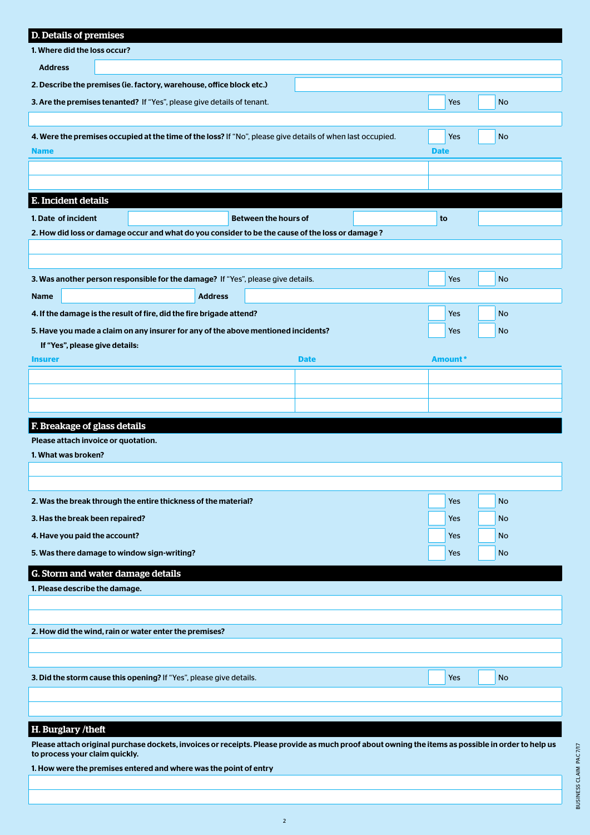| D. Details of premises                                                                                     |             |           |  |  |  |  |  |
|------------------------------------------------------------------------------------------------------------|-------------|-----------|--|--|--|--|--|
| 1. Where did the loss occur?                                                                               |             |           |  |  |  |  |  |
| <b>Address</b>                                                                                             |             |           |  |  |  |  |  |
| 2. Describe the premises (ie. factory, warehouse, office block etc.)                                       |             |           |  |  |  |  |  |
| 3. Are the premises tenanted? If "Yes", please give details of tenant.                                     | <b>Yes</b>  | No        |  |  |  |  |  |
|                                                                                                            |             |           |  |  |  |  |  |
| 4. Were the premises occupied at the time of the loss? If "No", please give details of when last occupied. | Yes         | No        |  |  |  |  |  |
| <b>Name</b>                                                                                                | <b>Date</b> |           |  |  |  |  |  |
|                                                                                                            |             |           |  |  |  |  |  |
|                                                                                                            |             |           |  |  |  |  |  |
| E. Incident details                                                                                        |             |           |  |  |  |  |  |
| 1. Date of incident<br><b>Between the hours of</b>                                                         | to          |           |  |  |  |  |  |
| 2. How did loss or damage occur and what do you consider to be the cause of the loss or damage?            |             |           |  |  |  |  |  |
|                                                                                                            |             |           |  |  |  |  |  |
|                                                                                                            |             |           |  |  |  |  |  |
| 3. Was another person responsible for the damage? If "Yes", please give details.                           | Yes         | No        |  |  |  |  |  |
| <b>Address</b><br><b>Name</b>                                                                              |             |           |  |  |  |  |  |
| 4. If the damage is the result of fire, did the fire brigade attend?                                       | Yes         | No        |  |  |  |  |  |
| 5. Have you made a claim on any insurer for any of the above mentioned incidents?                          | Yes         | <b>No</b> |  |  |  |  |  |
| If "Yes", please give details:                                                                             |             |           |  |  |  |  |  |
| <b>Insurer</b><br><b>Date</b>                                                                              | Amount*     |           |  |  |  |  |  |
|                                                                                                            |             |           |  |  |  |  |  |
|                                                                                                            |             |           |  |  |  |  |  |
|                                                                                                            |             |           |  |  |  |  |  |
| F. Breakage of glass details                                                                               |             |           |  |  |  |  |  |
| Please attach invoice or quotation.                                                                        |             |           |  |  |  |  |  |
| 1. What was broken?                                                                                        |             |           |  |  |  |  |  |
|                                                                                                            |             |           |  |  |  |  |  |
| 2. Was the break through the entire thickness of the material?                                             | <b>Yes</b>  | No        |  |  |  |  |  |
|                                                                                                            |             |           |  |  |  |  |  |
| 3. Has the break been repaired?                                                                            | Yes         | No        |  |  |  |  |  |
| 4. Have you paid the account?                                                                              | Yes         | No        |  |  |  |  |  |
| 5. Was there damage to window sign-writing?<br>Yes<br>No                                                   |             |           |  |  |  |  |  |
| G. Storm and water damage details                                                                          |             |           |  |  |  |  |  |
| 1. Please describe the damage.                                                                             |             |           |  |  |  |  |  |
|                                                                                                            |             |           |  |  |  |  |  |
| 2. How did the wind, rain or water enter the premises?                                                     |             |           |  |  |  |  |  |
|                                                                                                            |             |           |  |  |  |  |  |
|                                                                                                            |             |           |  |  |  |  |  |
| 3. Did the storm cause this opening? If "Yes", please give details.                                        | <b>Yes</b>  | No        |  |  |  |  |  |
|                                                                                                            |             |           |  |  |  |  |  |
|                                                                                                            |             |           |  |  |  |  |  |
| H. Burglary /theft                                                                                         |             |           |  |  |  |  |  |

Please attach original purchase dockets, invoices or receipts. Please provide as much proof about owning the items as possible in order to help us to process your claim quickly.

1. How were the premises entered and where was the point of entry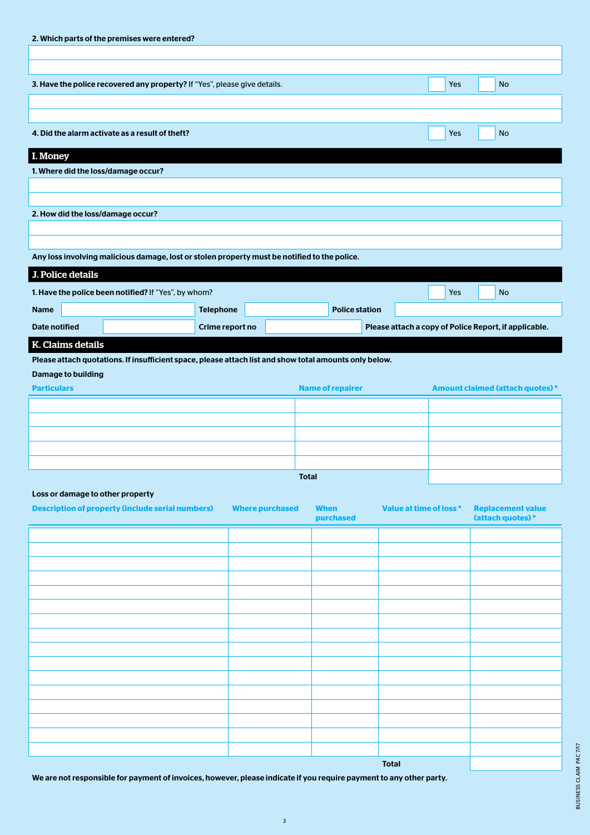| 2. Which parts of the premises were entered? |                                                                                                                   |                  |  |                         |                       |  |            |                                                       |
|----------------------------------------------|-------------------------------------------------------------------------------------------------------------------|------------------|--|-------------------------|-----------------------|--|------------|-------------------------------------------------------|
|                                              |                                                                                                                   |                  |  |                         |                       |  |            |                                                       |
|                                              | 3. Have the police recovered any property? If "Yes", please give details.                                         |                  |  |                         |                       |  | <b>Yes</b> | <b>No</b>                                             |
|                                              |                                                                                                                   |                  |  |                         |                       |  |            |                                                       |
|                                              |                                                                                                                   |                  |  |                         |                       |  |            |                                                       |
|                                              | 4. Did the alarm activate as a result of theft?                                                                   |                  |  |                         |                       |  | Yes        | <b>No</b>                                             |
| I. Money                                     |                                                                                                                   |                  |  |                         |                       |  |            |                                                       |
|                                              | 1. Where did the loss/damage occur?                                                                               |                  |  |                         |                       |  |            |                                                       |
|                                              |                                                                                                                   |                  |  |                         |                       |  |            |                                                       |
|                                              | 2. How did the loss/damage occur?                                                                                 |                  |  |                         |                       |  |            |                                                       |
|                                              |                                                                                                                   |                  |  |                         |                       |  |            |                                                       |
|                                              |                                                                                                                   |                  |  |                         |                       |  |            |                                                       |
|                                              | Any loss involving malicious damage, lost or stolen property must be notified to the police.<br>J. Police details |                  |  |                         |                       |  |            |                                                       |
|                                              | 1. Have the police been notified? If "Yes", by whom?                                                              |                  |  |                         |                       |  | Yes        | <b>No</b>                                             |
| <b>Name</b>                                  |                                                                                                                   | <b>Telephone</b> |  |                         | <b>Police station</b> |  |            |                                                       |
| <b>Date notified</b>                         |                                                                                                                   | Crime report no  |  |                         |                       |  |            | Please attach a copy of Police Report, if applicable. |
|                                              | K. Claims details                                                                                                 |                  |  |                         |                       |  |            |                                                       |
|                                              | Please attach quotations. If insufficient space, please attach list and show total amounts only below.            |                  |  |                         |                       |  |            |                                                       |
|                                              | <b>Damage to building</b>                                                                                         |                  |  |                         |                       |  |            |                                                       |
| <b>Particulars</b>                           |                                                                                                                   |                  |  | <b>Name of repairer</b> |                       |  |            | <b>Amount claimed (attach quotes)*</b>                |
|                                              |                                                                                                                   |                  |  |                         |                       |  |            |                                                       |
|                                              |                                                                                                                   |                  |  |                         |                       |  |            |                                                       |
|                                              |                                                                                                                   |                  |  |                         |                       |  |            |                                                       |
|                                              |                                                                                                                   |                  |  |                         |                       |  |            |                                                       |

Total

# Loss or damage to other property

| <b>Description of property (include serial numbers)</b> | <b>Where purchased</b> | <b>When</b><br>purchased | Value at time of loss * | <b>Replacement value</b><br>(attach quotes)* |
|---------------------------------------------------------|------------------------|--------------------------|-------------------------|----------------------------------------------|
|                                                         |                        |                          |                         |                                              |
|                                                         |                        |                          |                         |                                              |
|                                                         |                        |                          |                         |                                              |
|                                                         |                        |                          |                         |                                              |
|                                                         |                        |                          |                         |                                              |
|                                                         |                        |                          |                         |                                              |
|                                                         |                        |                          |                         |                                              |
|                                                         |                        |                          |                         |                                              |
|                                                         |                        |                          |                         |                                              |
|                                                         |                        |                          |                         |                                              |
|                                                         |                        |                          |                         |                                              |
|                                                         |                        |                          |                         |                                              |
|                                                         |                        |                          |                         |                                              |
|                                                         |                        |                          |                         |                                              |
|                                                         |                        |                          |                         |                                              |
|                                                         |                        |                          |                         |                                              |
|                                                         |                        |                          | <b>Total</b>            |                                              |

We are not responsible for payment of invoices, however, please indicate if you require payment to any other party.